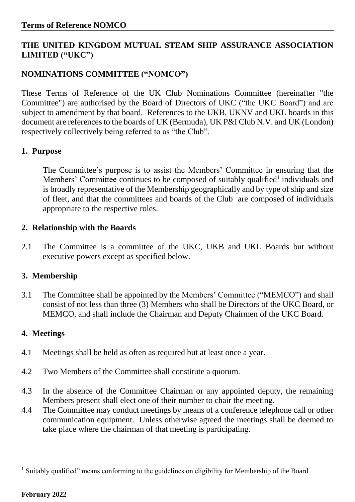## **THE UNITED KINGDOM MUTUAL STEAM SHIP ASSURANCE ASSOCIATION LIMITED ("UKC")**

# **NOMINATIONS COMMITTEE ("NOMCO")**

These Terms of Reference of the UK Club Nominations Committee (hereinafter "the Committee") are authorised by the Board of Directors of UKC ("the UKC Board") and are subject to amendment by that board. References to the UKB, UKNV and UKL boards in this document are references to the boards of UK (Bermuda), UK P&I Club N.V. and UK (London) respectively collectively being referred to as "the Club".

## **1. Purpose**

The Committee's purpose is to assist the Members' Committee in ensuring that the Members' Committee continues to be composed of suitably qualified<sup>1</sup> individuals and is broadly representative of the Membership geographically and by type of ship and size of fleet, and that the committees and boards of the Club are composed of individuals appropriate to the respective roles.

## **2. Relationship with the Boards**

2.1 The Committee is a committee of the UKC, UKB and UKL Boards but without executive powers except as specified below.

## **3. Membership**

3.1 The Committee shall be appointed by the Members' Committee ("MEMCO") and shall consist of not less than three (3) Members who shall be Directors of the UKC Board, or MEMCO, and shall include the Chairman and Deputy Chairmen of the UKC Board.

## **4. Meetings**

- 4.1 Meetings shall be held as often as required but at least once a year.
- 4.2 Two Members of the Committee shall constitute a quorum.
- 4.3 In the absence of the Committee Chairman or any appointed deputy, the remaining Members present shall elect one of their number to chair the meeting.
- 4.4 The Committee may conduct meetings by means of a conference telephone call or other communication equipment. Unless otherwise agreed the meetings shall be deemed to take place where the chairman of that meeting is participating.

1

<sup>&</sup>lt;sup>1</sup> Suitably qualified" means conforming to the guidelines on eligibility for Membership of the Board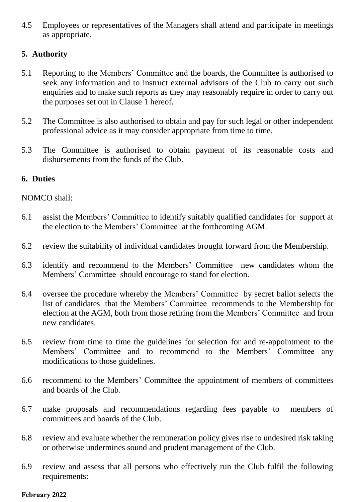4.5 Employees or representatives of the Managers shall attend and participate in meetings as appropriate.

#### **5. Authority**

- 5.1 Reporting to the Members' Committee and the boards, the Committee is authorised to seek any information and to instruct external advisors of the Club to carry out such enquiries and to make such reports as they may reasonably require in order to carry out the purposes set out in Clause 1 hereof.
- 5.2 The Committee is also authorised to obtain and pay for such legal or other independent professional advice as it may consider appropriate from time to time.
- 5.3 The Committee is authorised to obtain payment of its reasonable costs and disbursements from the funds of the Club.

#### **6. Duties**

#### NOMCO shall:

- 6.1 assist the Members' Committee to identify suitably qualified candidates for support at the election to the Members' Committee at the forthcoming AGM.
- 6.2 review the suitability of individual candidates brought forward from the Membership.
- 6.3 identify and recommend to the Members' Committee new candidates whom the Members' Committee should encourage to stand for election.
- 6.4 oversee the procedure whereby the Members' Committee by secret ballot selects the list of candidates that the Members' Committee recommends to the Membership for election at the AGM, both from those retiring from the Members' Committee and from new candidates.
- 6.5 review from time to time the guidelines for selection for and re-appointment to the Members' Committee and to recommend to the Members' Committee any modifications to those guidelines.
- 6.6 recommend to the Members' Committee the appointment of members of committees and boards of the Club.
- 6.7 make proposals and recommendations regarding fees payable to members of committees and boards of the Club.
- 6.8 review and evaluate whether the remuneration policy gives rise to undesired risk taking or otherwise undermines sound and prudent management of the Club.
- 6.9 review and assess that all persons who effectively run the Club fulfil the following requirements:

#### **February 2022**